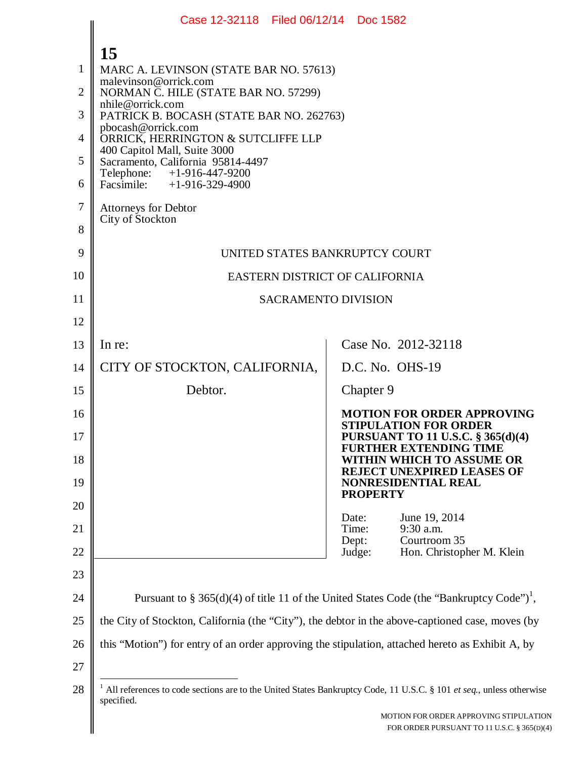|                | Case 12-32118 Filed 06/12/14 Doc 1582                                                                                                          |                                                                                                      |  |
|----------------|------------------------------------------------------------------------------------------------------------------------------------------------|------------------------------------------------------------------------------------------------------|--|
|                | 15                                                                                                                                             |                                                                                                      |  |
| 1              | MARC A. LEVINSON (STATE BAR NO. 57613)                                                                                                         |                                                                                                      |  |
| $\overline{2}$ | malevinson@orrick.com<br>NORMAN C. HILE (STATE BAR NO. 57299)                                                                                  |                                                                                                      |  |
| 3              | nhile@orrick.com<br>PATRICK B. BOCASH (STATE BAR NO. 262763)                                                                                   |                                                                                                      |  |
| 4              | pbocash@orrick.com<br>ORRICK, HERRINGTON & SUTCLIFFE LLP                                                                                       |                                                                                                      |  |
| 5              | 400 Capitol Mall, Suite 3000<br>Sacramento, California 95814-4497                                                                              |                                                                                                      |  |
| 6              | Telephone:<br>+1-916-447-9200<br>Facsimile: $+1-916-329-4900$                                                                                  |                                                                                                      |  |
| 7              | <b>Attorneys for Debtor</b><br>City of Stockton                                                                                                |                                                                                                      |  |
| 8              |                                                                                                                                                |                                                                                                      |  |
| 9              | UNITED STATES BANKRUPTCY COURT                                                                                                                 |                                                                                                      |  |
| 10             | EASTERN DISTRICT OF CALIFORNIA                                                                                                                 |                                                                                                      |  |
| 11             | <b>SACRAMENTO DIVISION</b>                                                                                                                     |                                                                                                      |  |
| 12             |                                                                                                                                                |                                                                                                      |  |
| 13             | In re:                                                                                                                                         | Case No. 2012-32118                                                                                  |  |
| 14             | CITY OF STOCKTON, CALIFORNIA,                                                                                                                  | D.C. No. OHS-19                                                                                      |  |
| 15             | Debtor.                                                                                                                                        | Chapter 9                                                                                            |  |
| 16             |                                                                                                                                                | <b>MOTION FOR ORDER APPROVING</b><br><b>STIPULATION FOR ORDER</b>                                    |  |
| 17             |                                                                                                                                                | <b>PURSUANT TO 11 U.S.C. § 365(d)(4)</b><br><b>FURTHER EXTENDING TIME</b>                            |  |
| 18             |                                                                                                                                                | WITHIN WHICH TO ASSUME OR<br>REJECT UNEXPIRED LEASES OF                                              |  |
| 19             |                                                                                                                                                | <b>NONRESIDENTIAL REAL</b><br><b>PROPERTY</b>                                                        |  |
| 20<br>21       |                                                                                                                                                | June 19, 2014<br>Date:<br>9:30 a.m.<br>Time:                                                         |  |
| 22             |                                                                                                                                                | Courtroom 35<br>Dept:<br>Judge:<br>Hon. Christopher M. Klein                                         |  |
| 23             |                                                                                                                                                |                                                                                                      |  |
| 24             |                                                                                                                                                | Pursuant to § 365(d)(4) of title 11 of the United States Code (the "Bankruptcy Code") <sup>1</sup> , |  |
| 25             | the City of Stockton, California (the "City"), the debtor in the above-captioned case, moves (by                                               |                                                                                                      |  |
| 26             | this "Motion") for entry of an order approving the stipulation, attached hereto as Exhibit A, by                                               |                                                                                                      |  |
| 27             |                                                                                                                                                |                                                                                                      |  |
| 28             | <sup>1</sup> All references to code sections are to the United States Bankruptcy Code, 11 U.S.C. § 101 et seq., unless otherwise<br>specified. |                                                                                                      |  |
|                |                                                                                                                                                | MOTION FOR ORDER APPROVING STIPULATION<br>FOR ORDER PURSUANT TO 11 U.S.C. § 365(D)(4)                |  |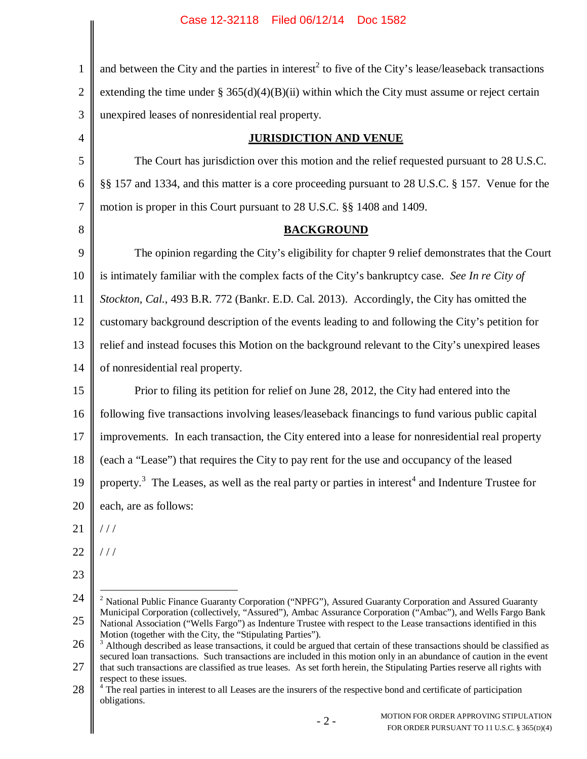1 2 3 4 5 6 7 8 9 10 11 12 13 14 15 16 17 18 19 20 and between the City and the parties in interest<sup>2</sup> to five of the City's lease/leaseback transactions extending the time under §  $365(d)(4)(B)(ii)$  within which the City must assume or reject certain unexpired leases of nonresidential real property. **JURISDICTION AND VENUE** The Court has jurisdiction over this motion and the relief requested pursuant to 28 U.S.C. §§ 157 and 1334, and this matter is a core proceeding pursuant to 28 U.S.C. § 157. Venue for the motion is proper in this Court pursuant to 28 U.S.C. §§ 1408 and 1409. **BACKGROUND** The opinion regarding the City's eligibility for chapter 9 relief demonstrates that the Court is intimately familiar with the complex facts of the City's bankruptcy case. *See In re City of Stockton, Cal.*, 493 B.R. 772 (Bankr. E.D. Cal. 2013). Accordingly, the City has omitted the customary background description of the events leading to and following the City's petition for relief and instead focuses this Motion on the background relevant to the City's unexpired leases of nonresidential real property. Prior to filing its petition for relief on June 28, 2012, the City had entered into the following five transactions involving leases/leaseback financings to fund various public capital improvements. In each transaction, the City entered into a lease for nonresidential real property (each a "Lease") that requires the City to pay rent for the use and occupancy of the leased property.<sup>3</sup> The Leases, as well as the real party or parties in interest<sup>4</sup> and Indenture Trustee for each, are as follows:  $/ / /$ 

21

22 / / /

23

<sup>24</sup> 25 <sup>2</sup> National Public Finance Guaranty Corporation ("NPFG"), Assured Guaranty Corporation and Assured Guaranty Municipal Corporation (collectively, "Assured"), Ambac Assurance Corporation ("Ambac"), and Wells Fargo Bank National Association ("Wells Fargo") as Indenture Trustee with respect to the Lease transactions identified in this Motion (together with the City, the "Stipulating Parties").

<sup>26</sup> <sup>3</sup> Although described as lease transactions, it could be argued that certain of these transactions should be classified as secured loan transactions. Such transactions are included in this motion only in an abundance of caution in the event

<sup>27</sup> that such transactions are classified as true leases. As set forth herein, the Stipulating Parties reserve all rights with respect to these issues.

<sup>28</sup> <sup>4</sup> The real parties in interest to all Leases are the insurers of the respective bond and certificate of participation obligations.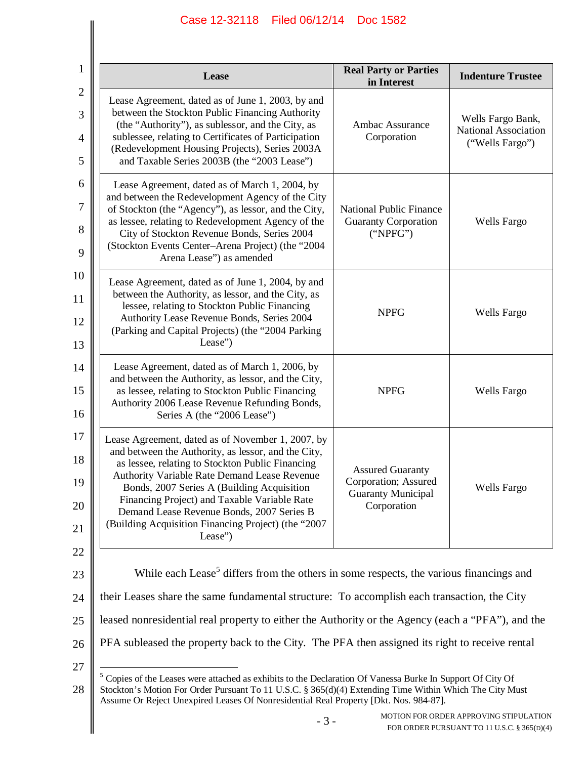| 1                             | Lease                                                                                                                                                                                                                                                                                                                                                                                                                     | <b>Real Party or Parties</b><br>in Interest                                                 | <b>Indenture Trustee</b>                                                              |
|-------------------------------|---------------------------------------------------------------------------------------------------------------------------------------------------------------------------------------------------------------------------------------------------------------------------------------------------------------------------------------------------------------------------------------------------------------------------|---------------------------------------------------------------------------------------------|---------------------------------------------------------------------------------------|
| $\mathfrak{2}$<br>3<br>4<br>5 | Lease Agreement, dated as of June 1, 2003, by and<br>between the Stockton Public Financing Authority<br>(the "Authority"), as sublessor, and the City, as<br>sublessee, relating to Certificates of Participation<br>(Redevelopment Housing Projects), Series 2003A<br>and Taxable Series 2003B (the "2003 Lease")                                                                                                        | Ambac Assurance<br>Corporation                                                              | Wells Fargo Bank,<br>National Association<br>("Wells Fargo")                          |
| 6<br>7<br>8<br>9              | Lease Agreement, dated as of March 1, 2004, by<br>and between the Redevelopment Agency of the City<br>of Stockton (the "Agency"), as lessor, and the City,<br>as lessee, relating to Redevelopment Agency of the<br>City of Stockton Revenue Bonds, Series 2004<br>(Stockton Events Center-Arena Project) (the "2004<br>Arena Lease") as amended                                                                          | <b>National Public Finance</b><br><b>Guaranty Corporation</b><br>("NPEG")                   | <b>Wells Fargo</b>                                                                    |
| 10<br>11<br>12<br>13          | Lease Agreement, dated as of June 1, 2004, by and<br>between the Authority, as lessor, and the City, as<br>lessee, relating to Stockton Public Financing<br>Authority Lease Revenue Bonds, Series 2004<br>(Parking and Capital Projects) (the "2004 Parking<br>Lease")                                                                                                                                                    | <b>NPFG</b>                                                                                 | Wells Fargo                                                                           |
| 14<br>15<br>16                | Lease Agreement, dated as of March 1, 2006, by<br>and between the Authority, as lessor, and the City,<br>as lessee, relating to Stockton Public Financing<br>Authority 2006 Lease Revenue Refunding Bonds,<br>Series A (the "2006 Lease")                                                                                                                                                                                 | <b>NPFG</b>                                                                                 | Wells Fargo                                                                           |
| 17<br>18<br>19<br>20<br>21    | Lease Agreement, dated as of November 1, 2007, by<br>and between the Authority, as lessor, and the City,<br>as lessee, relating to Stockton Public Financing<br>Authority Variable Rate Demand Lease Revenue<br>Bonds, 2007 Series A (Building Acquisition<br>Financing Project) and Taxable Variable Rate<br>Demand Lease Revenue Bonds, 2007 Series B<br>(Building Acquisition Financing Project) (the "2007<br>Lease") | <b>Assured Guaranty</b><br>Corporation; Assured<br><b>Guaranty Municipal</b><br>Corporation | <b>Wells Fargo</b>                                                                    |
| 22<br>23<br>24                | While each Lease <sup>5</sup> differs from the others in some respects, the various financings and<br>their Leases share the same fundamental structure: To accomplish each transaction, the City                                                                                                                                                                                                                         |                                                                                             |                                                                                       |
| 25                            |                                                                                                                                                                                                                                                                                                                                                                                                                           |                                                                                             |                                                                                       |
| 26                            | leased nonresidential real property to either the Authority or the Agency (each a "PFA"), and the<br>PFA subleased the property back to the City. The PFA then assigned its right to receive rental                                                                                                                                                                                                                       |                                                                                             |                                                                                       |
| 27<br>28                      | <sup>5</sup> Copies of the Leases were attached as exhibits to the Declaration Of Vanessa Burke In Support Of City Of<br>Stockton's Motion For Order Pursuant To 11 U.S.C. § 365(d)(4) Extending Time Within Which The City Must<br>Assume Or Reject Unexpired Leases Of Nonresidential Real Property [Dkt. Nos. 984-87].                                                                                                 |                                                                                             |                                                                                       |
|                               | $-3-$                                                                                                                                                                                                                                                                                                                                                                                                                     |                                                                                             | MOTION FOR ORDER APPROVING STIPULATION<br>FOR ORDER PURSUANT TO 11 U.S.C. § 365(D)(4) |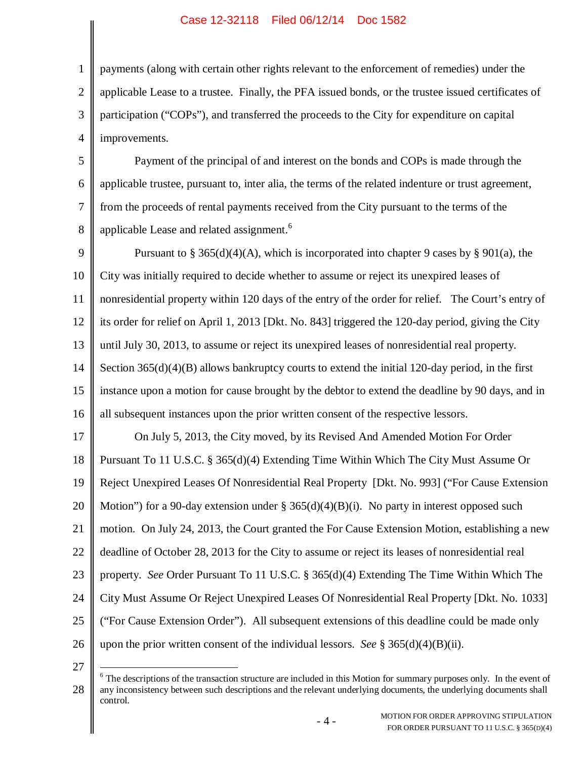1 2 3 4 payments (along with certain other rights relevant to the enforcement of remedies) under the applicable Lease to a trustee. Finally, the PFA issued bonds, or the trustee issued certificates of participation ("COPs"), and transferred the proceeds to the City for expenditure on capital improvements.

5 6 7 8 Payment of the principal of and interest on the bonds and COPs is made through the applicable trustee, pursuant to, inter alia, the terms of the related indenture or trust agreement, from the proceeds of rental payments received from the City pursuant to the terms of the applicable Lease and related assignment.<sup>6</sup>

9 10 11 12 13 14 15 16 Pursuant to § 365(d)(4)(A), which is incorporated into chapter 9 cases by § 901(a), the City was initially required to decide whether to assume or reject its unexpired leases of nonresidential property within 120 days of the entry of the order for relief. The Court's entry of its order for relief on April 1, 2013 [Dkt. No. 843] triggered the 120-day period, giving the City until July 30, 2013, to assume or reject its unexpired leases of nonresidential real property. Section 365(d)(4)(B) allows bankruptcy courts to extend the initial 120-day period, in the first instance upon a motion for cause brought by the debtor to extend the deadline by 90 days, and in all subsequent instances upon the prior written consent of the respective lessors.

17 18 19 20 21 22 23 24 25 26 On July 5, 2013, the City moved, by its Revised And Amended Motion For Order Pursuant To 11 U.S.C. § 365(d)(4) Extending Time Within Which The City Must Assume Or Reject Unexpired Leases Of Nonresidential Real Property [Dkt. No. 993] ("For Cause Extension Motion") for a 90-day extension under  $\S 365(d)(4)(B)(i)$ . No party in interest opposed such motion. On July 24, 2013, the Court granted the For Cause Extension Motion, establishing a new deadline of October 28, 2013 for the City to assume or reject its leases of nonresidential real property. *See* Order Pursuant To 11 U.S.C. § 365(d)(4) Extending The Time Within Which The City Must Assume Or Reject Unexpired Leases Of Nonresidential Real Property [Dkt. No. 1033] ("For Cause Extension Order"). All subsequent extensions of this deadline could be made only upon the prior written consent of the individual lessors. *See* § 365(d)(4)(B)(ii).

27

<sup>28</sup>  $6$  The descriptions of the transaction structure are included in this Motion for summary purposes only. In the event of any inconsistency between such descriptions and the relevant underlying documents, the underlying documents shall control.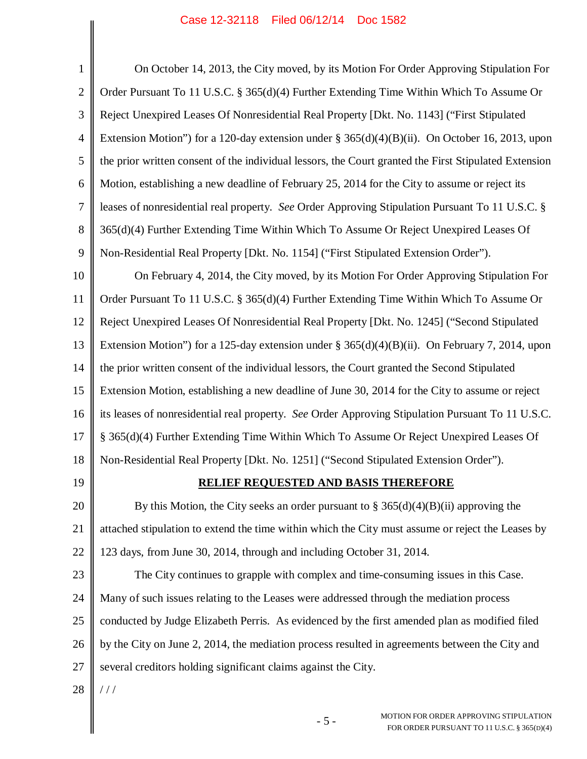$\parallel$ 

 $\parallel$ 

| $\mathbf{1}$   | On October 14, 2013, the City moved, by its Motion For Order Approving Stipulation For                |
|----------------|-------------------------------------------------------------------------------------------------------|
| $\overline{2}$ | Order Pursuant To 11 U.S.C. § 365(d)(4) Further Extending Time Within Which To Assume Or              |
| 3              | Reject Unexpired Leases Of Nonresidential Real Property [Dkt. No. 1143] ("First Stipulated            |
| $\overline{4}$ | Extension Motion") for a 120-day extension under $\S 365(d)(4)(B)(ii)$ . On October 16, 2013, upon    |
| 5              | the prior written consent of the individual lessors, the Court granted the First Stipulated Extension |
| 6              | Motion, establishing a new deadline of February 25, 2014 for the City to assume or reject its         |
| 7              | leases of nonresidential real property. See Order Approving Stipulation Pursuant To 11 U.S.C. §       |
| 8              | 365(d)(4) Further Extending Time Within Which To Assume Or Reject Unexpired Leases Of                 |
| 9              | Non-Residential Real Property [Dkt. No. 1154] ("First Stipulated Extension Order").                   |
| 10             | On February 4, 2014, the City moved, by its Motion For Order Approving Stipulation For                |
| 11             | Order Pursuant To 11 U.S.C. § 365(d)(4) Further Extending Time Within Which To Assume Or              |
| 12             | Reject Unexpired Leases Of Nonresidential Real Property [Dkt. No. 1245] ("Second Stipulated           |
| 13             | Extension Motion") for a 125-day extension under $\S 365(d)(4)(B)(ii)$ . On February 7, 2014, upon    |
| 14             | the prior written consent of the individual lessors, the Court granted the Second Stipulated          |
| 15             | Extension Motion, establishing a new deadline of June 30, 2014 for the City to assume or reject       |
| 16             | its leases of nonresidential real property. See Order Approving Stipulation Pursuant To 11 U.S.C.     |
| 17             | § 365(d)(4) Further Extending Time Within Which To Assume Or Reject Unexpired Leases Of               |
| 18             | Non-Residential Real Property [Dkt. No. 1251] ("Second Stipulated Extension Order").                  |
| 19             | RELIEF REQUESTED AND BASIS THEREFORE                                                                  |
| 20             | By this Motion, the City seeks an order pursuant to $\S 365(d)(4)(B)(ii)$ approving the               |
| 21             | attached stipulation to extend the time within which the City must assume or reject the Leases by     |
| 22             | 123 days, from June 30, 2014, through and including October 31, 2014.                                 |
| 23             | The City continues to grapple with complex and time-consuming issues in this Case.                    |
| 24             | Many of such issues relating to the Leases were addressed through the mediation process               |
| 25             | conducted by Judge Elizabeth Perris. As evidenced by the first amended plan as modified filed         |
| 26             | by the City on June 2, 2014, the mediation process resulted in agreements between the City and        |
| 27             | several creditors holding significant claims against the City.                                        |
| 28             | //                                                                                                    |
|                | MOTION FOR ORDER APPROVING STIPULATION<br>$-5-$<br>FOR ORDER PURSUANT TO 11 U.S.C. § 365(D)(4)        |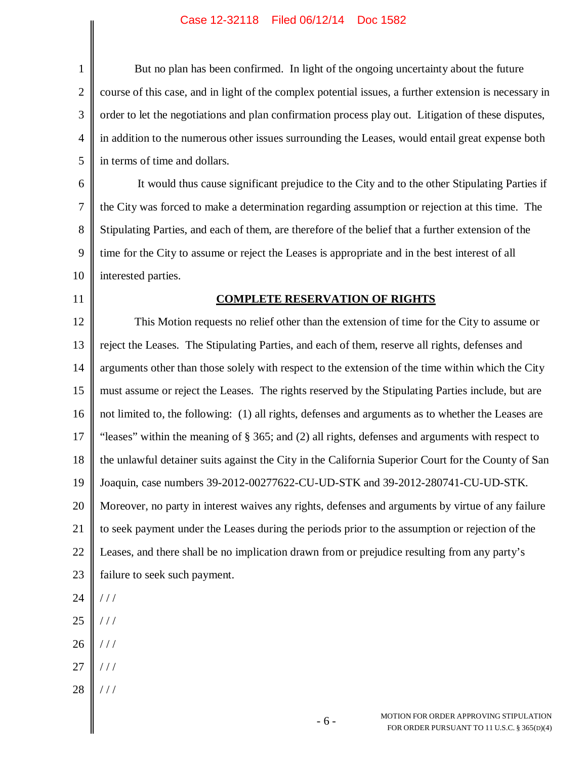$\parallel$ 

| $\mathbf{1}$   | But no plan has been confirmed. In light of the ongoing uncertainty about the future                   |  |
|----------------|--------------------------------------------------------------------------------------------------------|--|
| $\mathfrak{2}$ | course of this case, and in light of the complex potential issues, a further extension is necessary in |  |
| 3              | order to let the negotiations and plan confirmation process play out. Litigation of these disputes,    |  |
| $\overline{4}$ | in addition to the numerous other issues surrounding the Leases, would entail great expense both       |  |
| 5              | in terms of time and dollars.                                                                          |  |
| 6              | It would thus cause significant prejudice to the City and to the other Stipulating Parties if          |  |
| 7              | the City was forced to make a determination regarding assumption or rejection at this time. The        |  |
| 8              | Stipulating Parties, and each of them, are therefore of the belief that a further extension of the     |  |
| 9              | time for the City to assume or reject the Leases is appropriate and in the best interest of all        |  |
| 10             | interested parties.                                                                                    |  |
| 11             | <b>COMPLETE RESERVATION OF RIGHTS</b>                                                                  |  |
| 12             | This Motion requests no relief other than the extension of time for the City to assume or              |  |
| 13             | reject the Leases. The Stipulating Parties, and each of them, reserve all rights, defenses and         |  |
| 14             | arguments other than those solely with respect to the extension of the time within which the City      |  |
| 15             | must assume or reject the Leases. The rights reserved by the Stipulating Parties include, but are      |  |
| 16             | not limited to, the following: (1) all rights, defenses and arguments as to whether the Leases are     |  |
| 17             | "leases" within the meaning of § 365; and (2) all rights, defenses and arguments with respect to       |  |
| 18             | the unlawful detainer suits against the City in the California Superior Court for the County of San    |  |
| 19             | Joaquin, case numbers 39-2012-00277622-CU-UD-STK and 39-2012-280741-CU-UD-STK.                         |  |
| 20             | Moreover, no party in interest waives any rights, defenses and arguments by virtue of any failure      |  |
| 21             | to seek payment under the Leases during the periods prior to the assumption or rejection of the        |  |
| 22             | Leases, and there shall be no implication drawn from or prejudice resulting from any party's           |  |
| 23             | failure to seek such payment.                                                                          |  |
| 24             | //                                                                                                     |  |
| 25             | //                                                                                                     |  |
| 26             | //                                                                                                     |  |
| 27             | //                                                                                                     |  |
| 28             | //                                                                                                     |  |
|                | MOTION FOR ORDER APPROVING STIPULATION<br>$-6-$<br>FOR ORDER PURSUANT TO 11 U.S.C. § 365(D)(4)         |  |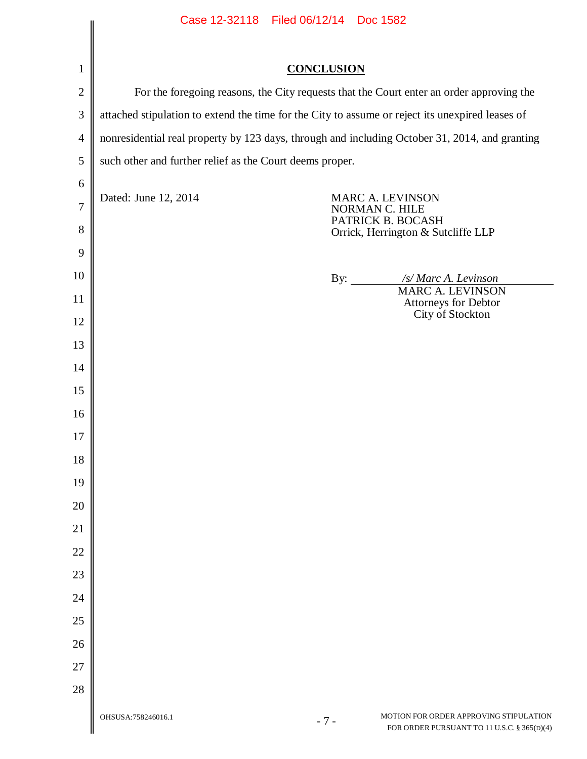|                | Case 12-32118    Filed 06/12/14    Doc 1582                                                      |                                                                                                |                                                                                       |
|----------------|--------------------------------------------------------------------------------------------------|------------------------------------------------------------------------------------------------|---------------------------------------------------------------------------------------|
| $\mathbf{1}$   |                                                                                                  | <b>CONCLUSION</b>                                                                              |                                                                                       |
| $\overline{2}$ | For the foregoing reasons, the City requests that the Court enter an order approving the         |                                                                                                |                                                                                       |
| $\mathfrak{Z}$ | attached stipulation to extend the time for the City to assume or reject its unexpired leases of |                                                                                                |                                                                                       |
| $\overline{4}$ |                                                                                                  |                                                                                                |                                                                                       |
| 5              | such other and further relief as the Court deems proper.                                         | nonresidential real property by 123 days, through and including October 31, 2014, and granting |                                                                                       |
| 6              |                                                                                                  |                                                                                                |                                                                                       |
| $\overline{7}$ | Dated: June 12, 2014                                                                             |                                                                                                | MARC A. LEVINSON<br>NORMAN C. HILE                                                    |
| 8              |                                                                                                  |                                                                                                | PATRICK B. BOCASH<br>Orrick, Herrington & Sutcliffe LLP                               |
| 9              |                                                                                                  |                                                                                                |                                                                                       |
| 10             |                                                                                                  | By: $\qquad \qquad$                                                                            | /s/ Marc A. Levinson                                                                  |
| 11             |                                                                                                  |                                                                                                | <b>MARC A. LEVINSON</b><br>Attorneys for Debtor                                       |
| 12             |                                                                                                  |                                                                                                | City of Stockton                                                                      |
| 13             |                                                                                                  |                                                                                                |                                                                                       |
| 14             |                                                                                                  |                                                                                                |                                                                                       |
| 15             |                                                                                                  |                                                                                                |                                                                                       |
| 16             |                                                                                                  |                                                                                                |                                                                                       |
| 17             |                                                                                                  |                                                                                                |                                                                                       |
| 18             |                                                                                                  |                                                                                                |                                                                                       |
| 19             |                                                                                                  |                                                                                                |                                                                                       |
| 20             |                                                                                                  |                                                                                                |                                                                                       |
| 21             |                                                                                                  |                                                                                                |                                                                                       |
| 22             |                                                                                                  |                                                                                                |                                                                                       |
| 23             |                                                                                                  |                                                                                                |                                                                                       |
| 24             |                                                                                                  |                                                                                                |                                                                                       |
| 25             |                                                                                                  |                                                                                                |                                                                                       |
| 26             |                                                                                                  |                                                                                                |                                                                                       |
| 27             |                                                                                                  |                                                                                                |                                                                                       |
| 28             |                                                                                                  |                                                                                                |                                                                                       |
|                | OHSUSA:758246016.1                                                                               | $-7-$                                                                                          | MOTION FOR ORDER APPROVING STIPULATION<br>FOR ORDER PURSUANT TO 11 U.S.C. § 365(D)(4) |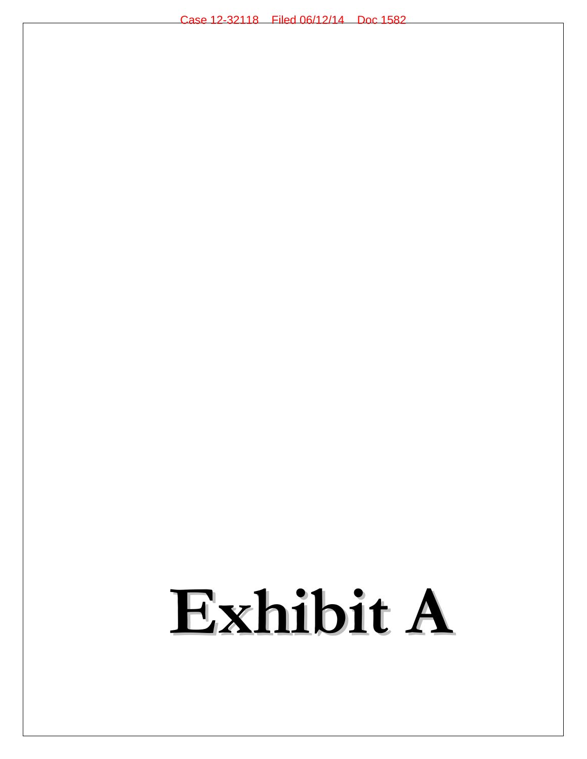# **Exhibit A**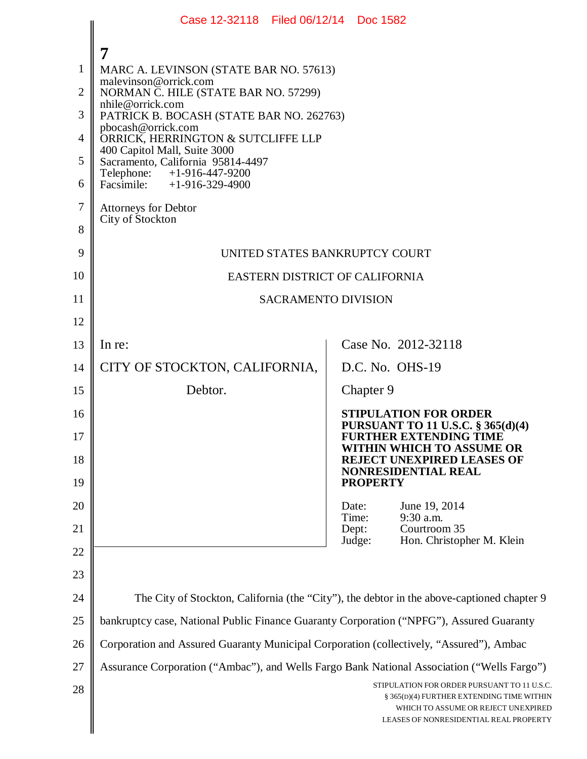|                | Case 12-32118 Filed 06/12/14 Doc 1582                                                      |                                                                                                                            |  |
|----------------|--------------------------------------------------------------------------------------------|----------------------------------------------------------------------------------------------------------------------------|--|
|                | 7                                                                                          |                                                                                                                            |  |
| 1              | MARC A. LEVINSON (STATE BAR NO. 57613)                                                     |                                                                                                                            |  |
| $\overline{2}$ | malevinson@orrick.com<br>NORMAN C. HILE (STATE BAR NO. 57299)                              |                                                                                                                            |  |
| 3              | nhile@orrick.com<br>PATRICK B. BOCASH (STATE BAR NO. 262763)                               |                                                                                                                            |  |
| 4              | pbocash@orrick.com<br>ORRICK, HERRINGTON & SUTCLIFFE LLP                                   |                                                                                                                            |  |
| 5              | 400 Capitol Mall, Suite 3000<br>Sacramento, California 95814-4497                          |                                                                                                                            |  |
| 6              | Telephone: +1-916-447-9200<br>Facsimile: $+1-916-329-4900$                                 |                                                                                                                            |  |
| $\tau$         | <b>Attorneys for Debtor</b>                                                                |                                                                                                                            |  |
| 8              | City of Stockton                                                                           |                                                                                                                            |  |
| 9              | UNITED STATES BANKRUPTCY COURT                                                             |                                                                                                                            |  |
| 10             | EASTERN DISTRICT OF CALIFORNIA                                                             |                                                                                                                            |  |
| 11             | <b>SACRAMENTO DIVISION</b>                                                                 |                                                                                                                            |  |
| 12             |                                                                                            |                                                                                                                            |  |
| 13             | In re:                                                                                     | Case No. 2012-32118                                                                                                        |  |
| 14             | CITY OF STOCKTON, CALIFORNIA,                                                              | D.C. No. OHS-19                                                                                                            |  |
| 15             | Debtor.                                                                                    | Chapter 9                                                                                                                  |  |
| 16             |                                                                                            | <b>STIPULATION FOR ORDER</b><br><b>PURSUANT TO 11 U.S.C. § 365(d)(4)</b>                                                   |  |
| 17             |                                                                                            | <b>FURTHER EXTENDING TIME</b><br>WITHIN WHICH TO ASSUME OR                                                                 |  |
| 18             |                                                                                            | <b>REJECT UNEXPIRED LEASES OF</b><br><b>NONRESIDENTIAL REAL</b>                                                            |  |
| 19             |                                                                                            | <b>PROPERTY</b>                                                                                                            |  |
| 20             |                                                                                            | June 19, 2014<br>Date:<br>Time:<br>9:30 a.m.                                                                               |  |
| 21             |                                                                                            | Courtroom 35<br>Dept:<br>Judge:<br>Hon. Christopher M. Klein                                                               |  |
| 22             |                                                                                            |                                                                                                                            |  |
| 23             |                                                                                            |                                                                                                                            |  |
| 24             |                                                                                            | The City of Stockton, California (the "City"), the debtor in the above-captioned chapter 9                                 |  |
| 25             | bankruptcy case, National Public Finance Guaranty Corporation ("NPFG"), Assured Guaranty   |                                                                                                                            |  |
| 26             | Corporation and Assured Guaranty Municipal Corporation (collectively, "Assured"), Ambac    |                                                                                                                            |  |
| 27             | Assurance Corporation ("Ambac"), and Wells Fargo Bank National Association ("Wells Fargo") | STIPULATION FOR ORDER PURSUANT TO 11 U.S.C.                                                                                |  |
| 28             |                                                                                            | § 365(D)(4) FURTHER EXTENDING TIME WITHIN<br>WHICH TO ASSUME OR REJECT UNEXPIRED<br>LEASES OF NONRESIDENTIAL REAL PROPERTY |  |
|                |                                                                                            |                                                                                                                            |  |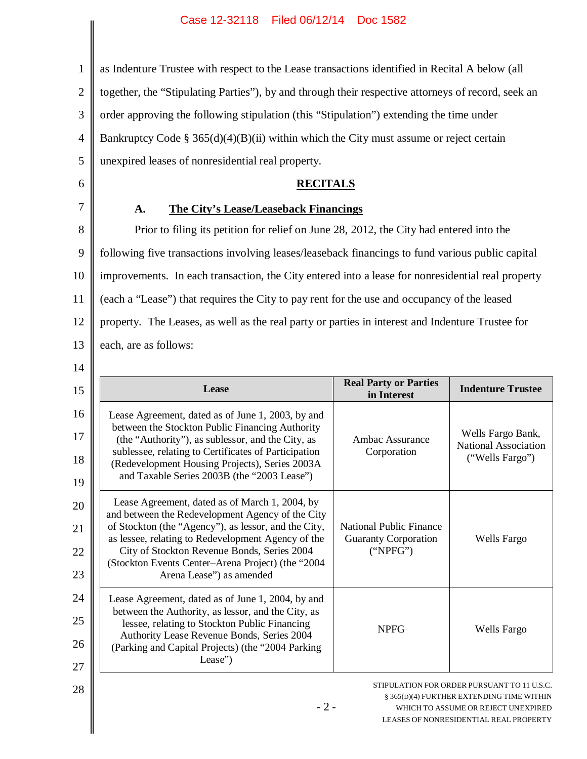as Indenture Trustee with respect to the Lease transactions identified in Recital A below (all

2 together, the "Stipulating Parties"), by and through their respective attorneys of record, seek an

3 order approving the following stipulation (this "Stipulation") extending the time under

4 Bankruptcy Code §  $365(d)(4)(B)(ii)$  within which the City must assume or reject certain

5 6

1

# **RECITALS**

# 7

# **A. The City's Lease/Leaseback Financings**

unexpired leases of nonresidential real property.

8 9 10 11 12 13 Prior to filing its petition for relief on June 28, 2012, the City had entered into the following five transactions involving leases/leaseback financings to fund various public capital improvements. In each transaction, the City entered into a lease for nonresidential real property (each a "Lease") that requires the City to pay rent for the use and occupancy of the leased property. The Leases, as well as the real party or parties in interest and Indenture Trustee for each, are as follows:

 $14$ 

| 15 | Lease                                                                                                      | <b>Real Party or Parties</b><br>in Interest                   | <b>Indenture Trustee</b>                    |
|----|------------------------------------------------------------------------------------------------------------|---------------------------------------------------------------|---------------------------------------------|
| 16 | Lease Agreement, dated as of June 1, 2003, by and                                                          |                                                               |                                             |
| 17 | between the Stockton Public Financing Authority<br>(the "Authority"), as sublessor, and the City, as       | Ambac Assurance                                               | Wells Fargo Bank,<br>National Association   |
| 18 | sublessee, relating to Certificates of Participation<br>(Redevelopment Housing Projects), Series 2003A     | Corporation                                                   | ("Wells Fargo")                             |
| 19 | and Taxable Series 2003B (the "2003 Lease")                                                                |                                                               |                                             |
| 20 | Lease Agreement, dated as of March 1, 2004, by<br>and between the Redevelopment Agency of the City         |                                                               |                                             |
| 21 | of Stockton (the "Agency"), as lessor, and the City,<br>as lessee, relating to Redevelopment Agency of the | <b>National Public Finance</b><br><b>Guaranty Corporation</b> | <b>Wells Fargo</b>                          |
| 22 | City of Stockton Revenue Bonds, Series 2004<br>(Stockton Events Center-Arena Project) (the "2004           | ("NPEG")                                                      |                                             |
| 23 | Arena Lease") as amended                                                                                   |                                                               |                                             |
| 24 | Lease Agreement, dated as of June 1, 2004, by and<br>between the Authority, as lessor, and the City, as    |                                                               |                                             |
| 25 | lessee, relating to Stockton Public Financing                                                              | <b>NPFG</b>                                                   | Wells Fargo                                 |
| 26 | Authority Lease Revenue Bonds, Series 2004<br>(Parking and Capital Projects) (the "2004 Parking            |                                                               |                                             |
| 27 | Lease")                                                                                                    |                                                               |                                             |
| 28 |                                                                                                            |                                                               | STIPULATION FOR ORDER PURSUANT TO 11 U.S.C. |

# § 365(D)(4) FURTHER EXTENDING TIME WITHIN WHICH TO ASSUME OR REJECT UNEXPIRED LEASES OF NONRESIDENTIAL REAL PROPERTY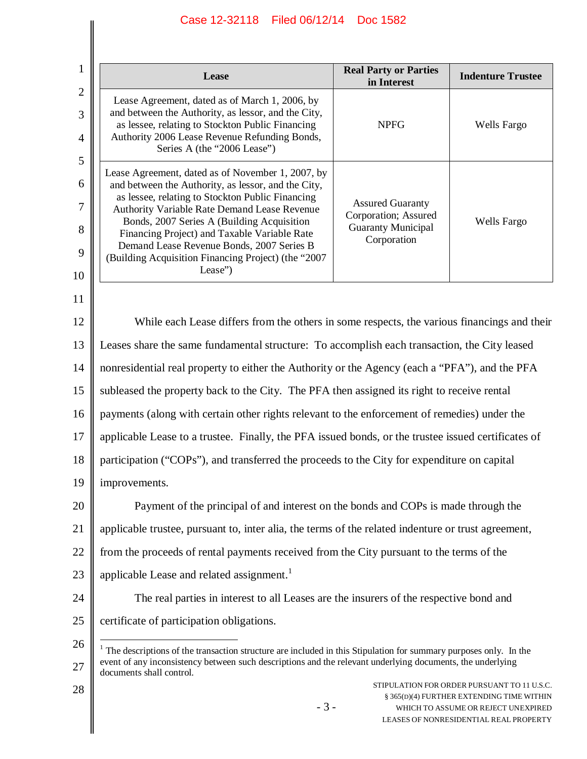$\parallel$ 

| 1                                   | Lease                                                                                                                                                                                                                                                                                                                                                                                                                     | <b>Real Party or Parties</b><br>in Interest                                                 | <b>Indenture Trustee</b> |
|-------------------------------------|---------------------------------------------------------------------------------------------------------------------------------------------------------------------------------------------------------------------------------------------------------------------------------------------------------------------------------------------------------------------------------------------------------------------------|---------------------------------------------------------------------------------------------|--------------------------|
| $\mathbf{2}$<br>3<br>$\overline{4}$ | Lease Agreement, dated as of March 1, 2006, by<br>and between the Authority, as lessor, and the City,<br>as lessee, relating to Stockton Public Financing<br>Authority 2006 Lease Revenue Refunding Bonds,<br>Series A (the "2006 Lease")                                                                                                                                                                                 | <b>NPFG</b>                                                                                 | Wells Fargo              |
| 5<br>6<br>7<br>8<br>9<br>10         | Lease Agreement, dated as of November 1, 2007, by<br>and between the Authority, as lessor, and the City,<br>as lessee, relating to Stockton Public Financing<br>Authority Variable Rate Demand Lease Revenue<br>Bonds, 2007 Series A (Building Acquisition<br>Financing Project) and Taxable Variable Rate<br>Demand Lease Revenue Bonds, 2007 Series B<br>(Building Acquisition Financing Project) (the "2007<br>Lease") | <b>Assured Guaranty</b><br>Corporation; Assured<br><b>Guaranty Municipal</b><br>Corporation | Wells Fargo              |
| 11                                  |                                                                                                                                                                                                                                                                                                                                                                                                                           |                                                                                             |                          |
| 12                                  | While each Lease differs from the others in some respects, the various financings and their                                                                                                                                                                                                                                                                                                                               |                                                                                             |                          |
| 13                                  | Leases share the same fundamental structure: To accomplish each transaction, the City leased                                                                                                                                                                                                                                                                                                                              |                                                                                             |                          |
| 14                                  | nonresidential real property to either the Authority or the Agency (each a "PFA"), and the PFA                                                                                                                                                                                                                                                                                                                            |                                                                                             |                          |
| 15                                  | subleased the property back to the City. The PFA then assigned its right to receive rental                                                                                                                                                                                                                                                                                                                                |                                                                                             |                          |
| 16                                  | payments (along with certain other rights relevant to the enforcement of remedies) under the                                                                                                                                                                                                                                                                                                                              |                                                                                             |                          |
| 17                                  | applicable Lease to a trustee. Finally, the PFA issued bonds, or the trustee issued certificates of                                                                                                                                                                                                                                                                                                                       |                                                                                             |                          |
| 18                                  | participation ("COPs"), and transferred the proceeds to the City for expenditure on capital                                                                                                                                                                                                                                                                                                                               |                                                                                             |                          |
| 19                                  | improvements.                                                                                                                                                                                                                                                                                                                                                                                                             |                                                                                             |                          |
| 20                                  | Payment of the principal of and interest on the bonds and COPs is made through the                                                                                                                                                                                                                                                                                                                                        |                                                                                             |                          |
| 21                                  | applicable trustee, pursuant to, inter alia, the terms of the related indenture or trust agreement,                                                                                                                                                                                                                                                                                                                       |                                                                                             |                          |
| 22                                  | from the proceeds of rental payments received from the City pursuant to the terms of the                                                                                                                                                                                                                                                                                                                                  |                                                                                             |                          |
| 23                                  | applicable Lease and related assignment. <sup>1</sup>                                                                                                                                                                                                                                                                                                                                                                     |                                                                                             |                          |
| 24                                  | The real parties in interest to all Leases are the insurers of the respective bond and                                                                                                                                                                                                                                                                                                                                    |                                                                                             |                          |
| 25                                  | certificate of participation obligations.                                                                                                                                                                                                                                                                                                                                                                                 |                                                                                             |                          |
| 26<br>27                            | The descriptions of the transaction structure are included in this Stipulation for summary purposes only. In the<br>event of any inconsistency between such descriptions and the relevant underlying documents, the underlying<br>documents shall control.                                                                                                                                                                |                                                                                             |                          |
| 28                                  | STIPULATION FOR ORDER PURSUANT TO 11 U.S.C.<br>§ 365(D)(4) FURTHER EXTENDING TIME WITHIN                                                                                                                                                                                                                                                                                                                                  |                                                                                             |                          |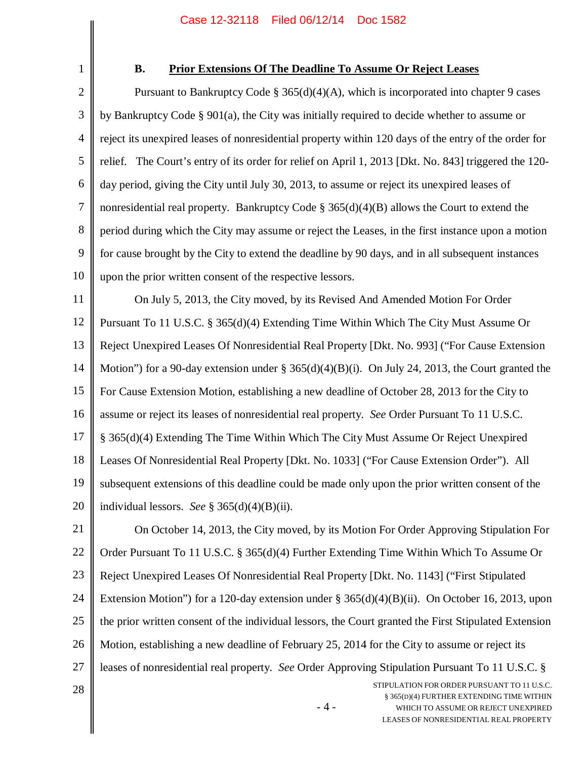1

## **B. Prior Extensions Of The Deadline To Assume Or Reject Leases**

2 3 4 5 6 7 8 9 10 Pursuant to Bankruptcy Code  $\S 365(d)(4)(A)$ , which is incorporated into chapter 9 cases by Bankruptcy Code § 901(a), the City was initially required to decide whether to assume or reject its unexpired leases of nonresidential property within 120 days of the entry of the order for relief. The Court's entry of its order for relief on April 1, 2013 [Dkt. No. 843] triggered the 120 day period, giving the City until July 30, 2013, to assume or reject its unexpired leases of nonresidential real property. Bankruptcy Code § 365(d)(4)(B) allows the Court to extend the period during which the City may assume or reject the Leases, in the first instance upon a motion for cause brought by the City to extend the deadline by 90 days, and in all subsequent instances upon the prior written consent of the respective lessors.

11 12 13 14 15 16 17 18 19 20 On July 5, 2013, the City moved, by its Revised And Amended Motion For Order Pursuant To 11 U.S.C. § 365(d)(4) Extending Time Within Which The City Must Assume Or Reject Unexpired Leases Of Nonresidential Real Property [Dkt. No. 993] ("For Cause Extension Motion") for a 90-day extension under § 365(d)(4)(B)(i). On July 24, 2013, the Court granted the For Cause Extension Motion, establishing a new deadline of October 28, 2013 for the City to assume or reject its leases of nonresidential real property. *See* Order Pursuant To 11 U.S.C. § 365(d)(4) Extending The Time Within Which The City Must Assume Or Reject Unexpired Leases Of Nonresidential Real Property [Dkt. No. 1033] ("For Cause Extension Order"). All subsequent extensions of this deadline could be made only upon the prior written consent of the individual lessors. *See* § 365(d)(4)(B)(ii).

21 22 23 24 25 26 27 On October 14, 2013, the City moved, by its Motion For Order Approving Stipulation For Order Pursuant To 11 U.S.C. § 365(d)(4) Further Extending Time Within Which To Assume Or Reject Unexpired Leases Of Nonresidential Real Property [Dkt. No. 1143] ("First Stipulated Extension Motion") for a 120-day extension under § 365(d)(4)(B)(ii). On October 16, 2013, upon the prior written consent of the individual lessors, the Court granted the First Stipulated Extension Motion, establishing a new deadline of February 25, 2014 for the City to assume or reject its leases of nonresidential real property. *See* Order Approving Stipulation Pursuant To 11 U.S.C. §

28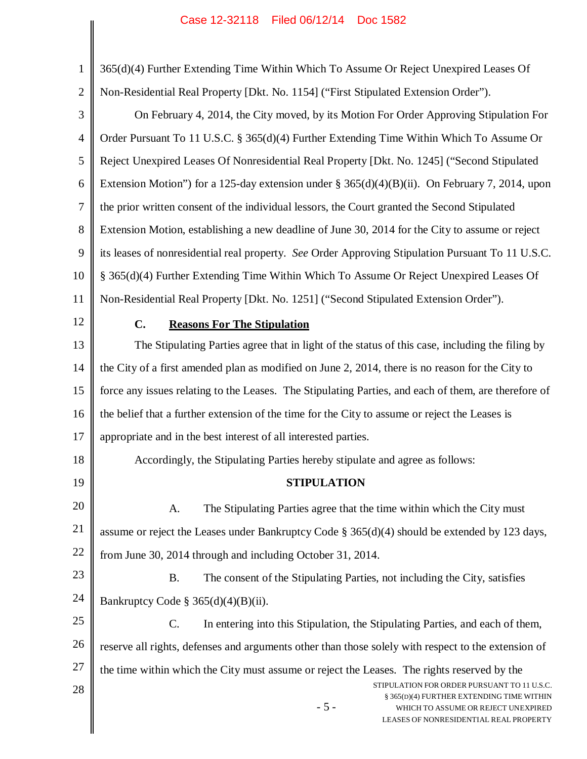- 5 - STIPULATION FOR ORDER PURSUANT TO 11 U.S.C. § 365(D)(4) FURTHER EXTENDING TIME WITHIN WHICH TO ASSUME OR REJECT UNEXPIRED LEASES OF NONRESIDENTIAL REAL PROPERTY 1 2 3 4 5 6 7 8 9 10 11 12 13 14 15 16 17 18 19 20 21 22 23 24 25 26 27 28 365(d)(4) Further Extending Time Within Which To Assume Or Reject Unexpired Leases Of Non-Residential Real Property [Dkt. No. 1154] ("First Stipulated Extension Order"). On February 4, 2014, the City moved, by its Motion For Order Approving Stipulation For Order Pursuant To 11 U.S.C. § 365(d)(4) Further Extending Time Within Which To Assume Or Reject Unexpired Leases Of Nonresidential Real Property [Dkt. No. 1245] ("Second Stipulated Extension Motion") for a 125-day extension under § 365(d)(4)(B)(ii). On February 7, 2014, upon the prior written consent of the individual lessors, the Court granted the Second Stipulated Extension Motion, establishing a new deadline of June 30, 2014 for the City to assume or reject its leases of nonresidential real property. *See* Order Approving Stipulation Pursuant To 11 U.S.C. § 365(d)(4) Further Extending Time Within Which To Assume Or Reject Unexpired Leases Of Non-Residential Real Property [Dkt. No. 1251] ("Second Stipulated Extension Order"). **C. Reasons For The Stipulation** The Stipulating Parties agree that in light of the status of this case, including the filing by the City of a first amended plan as modified on June 2, 2014, there is no reason for the City to force any issues relating to the Leases. The Stipulating Parties, and each of them, are therefore of the belief that a further extension of the time for the City to assume or reject the Leases is appropriate and in the best interest of all interested parties. Accordingly, the Stipulating Parties hereby stipulate and agree as follows: **STIPULATION** A. The Stipulating Parties agree that the time within which the City must assume or reject the Leases under Bankruptcy Code § 365(d)(4) should be extended by 123 days, from June 30, 2014 through and including October 31, 2014. B. The consent of the Stipulating Parties, not including the City, satisfies Bankruptcy Code §  $365(d)(4)(B)(ii)$ . C. In entering into this Stipulation, the Stipulating Parties, and each of them, reserve all rights, defenses and arguments other than those solely with respect to the extension of the time within which the City must assume or reject the Leases. The rights reserved by the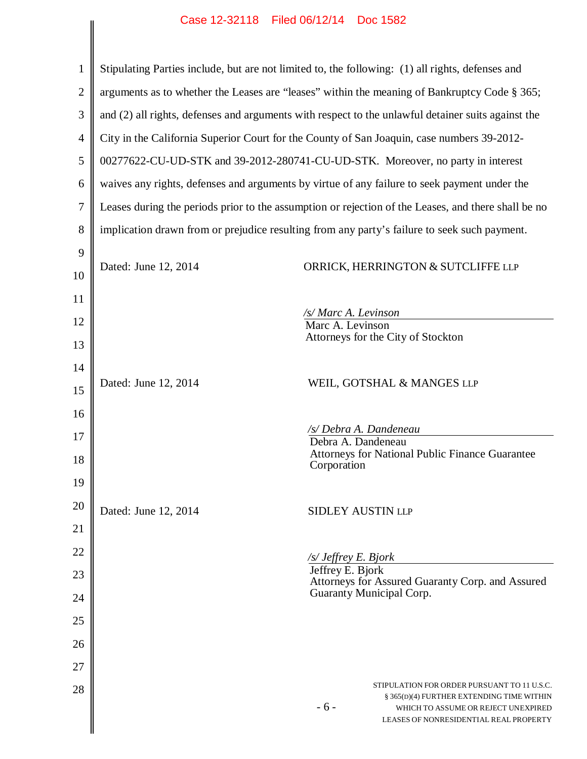|                | Case IZ-92110 Filed 00/12/14 FD0C 1902                                                       |                                                                                                                                                                                    |
|----------------|----------------------------------------------------------------------------------------------|------------------------------------------------------------------------------------------------------------------------------------------------------------------------------------|
| $\mathbf{1}$   |                                                                                              | Stipulating Parties include, but are not limited to, the following: (1) all rights, defenses and                                                                                   |
| $\overline{2}$ | arguments as to whether the Leases are "leases" within the meaning of Bankruptcy Code § 365; |                                                                                                                                                                                    |
| 3              |                                                                                              | and (2) all rights, defenses and arguments with respect to the unlawful detainer suits against the                                                                                 |
| $\overline{4}$ |                                                                                              | City in the California Superior Court for the County of San Joaquin, case numbers 39-2012-                                                                                         |
| 5              |                                                                                              | 00277622-CU-UD-STK and 39-2012-280741-CU-UD-STK. Moreover, no party in interest                                                                                                    |
| 6              |                                                                                              | waives any rights, defenses and arguments by virtue of any failure to seek payment under the                                                                                       |
| 7              |                                                                                              | Leases during the periods prior to the assumption or rejection of the Leases, and there shall be no                                                                                |
| 8              |                                                                                              | implication drawn from or prejudice resulting from any party's failure to seek such payment.                                                                                       |
| 9              |                                                                                              |                                                                                                                                                                                    |
| 10             | Dated: June 12, 2014                                                                         | ORRICK, HERRINGTON & SUTCLIFFE LLP                                                                                                                                                 |
| 11             |                                                                                              |                                                                                                                                                                                    |
| 12             |                                                                                              | /s/ Marc A. Levinson<br>Marc A. Levinson                                                                                                                                           |
| 13             |                                                                                              | Attorneys for the City of Stockton                                                                                                                                                 |
| 14             |                                                                                              |                                                                                                                                                                                    |
| 15             | Dated: June 12, 2014                                                                         | WEIL, GOTSHAL & MANGES LLP                                                                                                                                                         |
| 16             |                                                                                              |                                                                                                                                                                                    |
| 17             |                                                                                              | /s/ Debra A. Dandeneau<br>Debra A. Dandeneau                                                                                                                                       |
| 18             |                                                                                              | Attorneys for National Public Finance Guarantee<br>Corporation                                                                                                                     |
| 19             |                                                                                              |                                                                                                                                                                                    |
| 20             | Dated: June 12, 2014                                                                         | <b>SIDLEY AUSTIN LLP</b>                                                                                                                                                           |
| 21             |                                                                                              |                                                                                                                                                                                    |
| 22             |                                                                                              | /s/ Jeffrey E. Bjork                                                                                                                                                               |
| 23             |                                                                                              | Jeffrey E. Bjork<br>Attorneys for Assured Guaranty Corp. and Assured                                                                                                               |
| 24             |                                                                                              | Guaranty Municipal Corp.                                                                                                                                                           |
| 25             |                                                                                              |                                                                                                                                                                                    |
| 26             |                                                                                              |                                                                                                                                                                                    |
| 27             |                                                                                              |                                                                                                                                                                                    |
| 28             |                                                                                              | STIPULATION FOR ORDER PURSUANT TO 11 U.S.C.<br>§ 365(D)(4) FURTHER EXTENDING TIME WITHIN<br>$-6-$<br>WHICH TO ASSUME OR REJECT UNEXPIRED<br>LEASES OF NONRESIDENTIAL REAL PROPERTY |